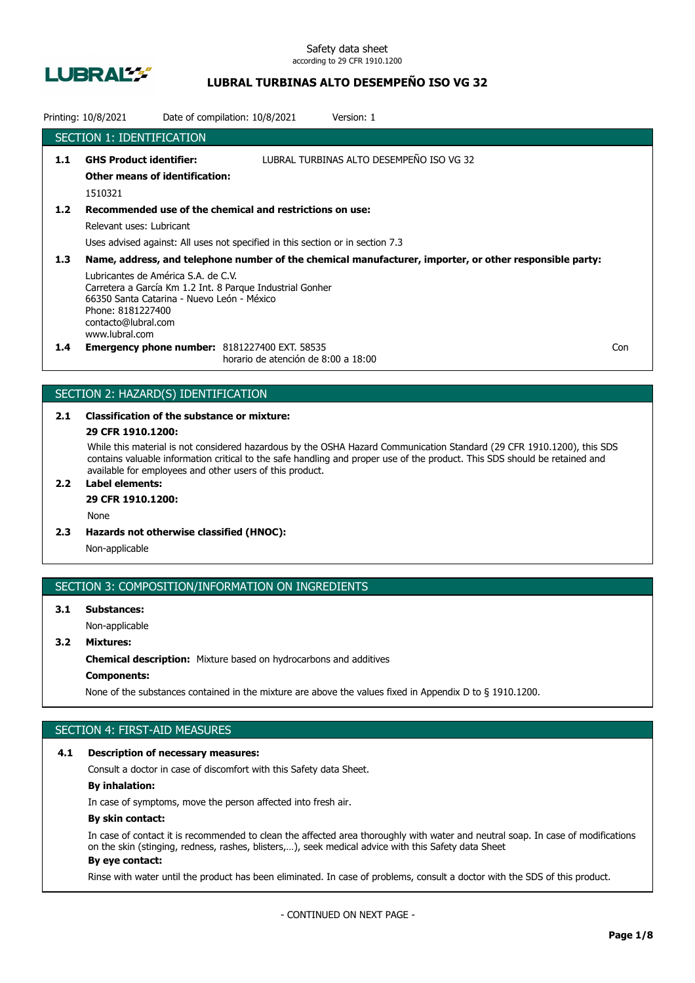

## **LUBRAL TURBINAS ALTO DESEMPEÑO ISO VG 32**

|                  | Printing: 10/8/2021                                                                                                                             | Date of compilation: 10/8/2021 |                                                                                                                                            | Version: 1                                                                                              |     |
|------------------|-------------------------------------------------------------------------------------------------------------------------------------------------|--------------------------------|--------------------------------------------------------------------------------------------------------------------------------------------|---------------------------------------------------------------------------------------------------------|-----|
|                  | <b>SECTION 1: IDENTIFICATION</b>                                                                                                                |                                |                                                                                                                                            |                                                                                                         |     |
| 1.1              | <b>GHS Product identifier:</b><br><b>Other means of identification:</b><br>1510321                                                              |                                |                                                                                                                                            | LUBRAL TURBINAS ALTO DESEMPEÑO ISO VG 32                                                                |     |
| 1.2              | Relevant uses: Lubricant                                                                                                                        |                                | Recommended use of the chemical and restrictions on use:<br>Uses advised against: All uses not specified in this section or in section 7.3 |                                                                                                         |     |
| 1.3 <sub>2</sub> | Lubricantes de América S.A. de C.V.<br>66350 Santa Catarina - Nuevo León - México<br>Phone: 8181227400<br>contacto@lubral.com<br>www.lubral.com |                                | Carretera a García Km 1.2 Int. 8 Parque Industrial Gonher                                                                                  | Name, address, and telephone number of the chemical manufacturer, importer, or other responsible party: |     |
| $1.4^{\circ}$    |                                                                                                                                                 |                                | <b>Emergency phone number: 8181227400 EXT. 58535</b><br>horario de atención de 8:00 a 18:00                                                |                                                                                                         | Con |

## SECTION 2: HAZARD(S) IDENTIFICATION

# **2.1 Classification of the substance or mixture:**

## **29 CFR 1910.1200:**

While this material is not considered hazardous by the OSHA Hazard Communication Standard (29 CFR 1910.1200), this SDS contains valuable information critical to the safe handling and proper use of the product. This SDS should be retained and available for employees and other users of this product.

## **2.2 Label elements:**

## **29 CFR 1910.1200:**

None

**2.3 Hazards not otherwise classified (HNOC):**

Non-applicable

#### SECTION 3: COMPOSITION/INFORMATION ON INGREDIENTS

## **3.1 Substances:** Non-applicable

## **3.2 Mixtures:**

**Chemical description:** Mixture based on hydrocarbons and additives

## **Components:**

None of the substances contained in the mixture are above the values fixed in Appendix D to § 1910.1200.

## SECTION 4: FIRST-AID MEASURES

#### **4.1 Description of necessary measures:**

Consult a doctor in case of discomfort with this Safety data Sheet.

### **By inhalation:**

In case of symptoms, move the person affected into fresh air.

#### **By skin contact:**

In case of contact it is recommended to clean the affected area thoroughly with water and neutral soap. In case of modifications on the skin (stinging, redness, rashes, blisters,…), seek medical advice with this Safety data Sheet **By eye contact:**

#### Rinse with water until the product has been eliminated. In case of problems, consult a doctor with the SDS of this product.

- CONTINUED ON NEXT PAGE -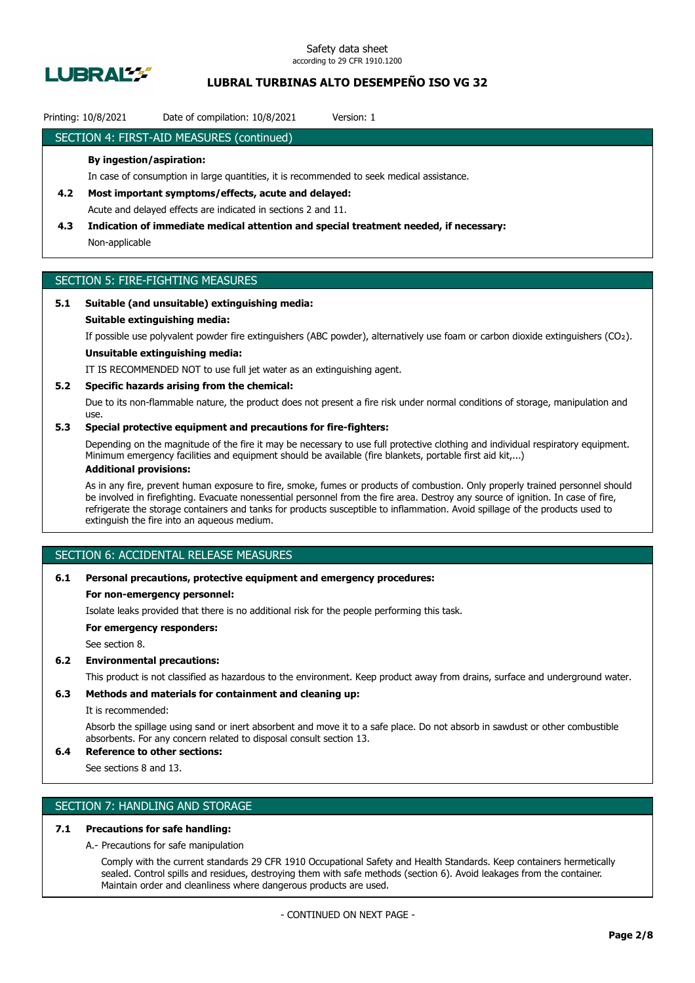

## **LUBRAL TURBINAS ALTO DESEMPEÑO ISO VG 32**

### Printing: 10/8/2021 Date of compilation: 10/8/2021 Version: 1

### SECTION 4: FIRST-AID MEASURES (continued)

#### **By ingestion/aspiration:**

In case of consumption in large quantities, it is recommended to seek medical assistance.

- **4.2 Most important symptoms/effects, acute and delayed:** Acute and delayed effects are indicated in sections 2 and 11.
- **4.3 Indication of immediate medical attention and special treatment needed, if necessary:** Non-applicable

## SECTION 5: FIRE-FIGHTING MEASURES

### **5.1 Suitable (and unsuitable) extinguishing media:**

#### **Suitable extinguishing media:**

If possible use polyvalent powder fire extinguishers (ABC powder), alternatively use foam or carbon dioxide extinguishers (CO₂).

## **Unsuitable extinguishing media:**

IT IS RECOMMENDED NOT to use full jet water as an extinguishing agent.

#### **5.2 Specific hazards arising from the chemical:**

Due to its non-flammable nature, the product does not present a fire risk under normal conditions of storage, manipulation and use.

### **5.3 Special protective equipment and precautions for fire-fighters:**

Depending on the magnitude of the fire it may be necessary to use full protective clothing and individual respiratory equipment. Minimum emergency facilities and equipment should be available (fire blankets, portable first aid kit,...)

### **Additional provisions:**

As in any fire, prevent human exposure to fire, smoke, fumes or products of combustion. Only properly trained personnel should be involved in firefighting. Evacuate nonessential personnel from the fire area. Destroy any source of ignition. In case of fire, refrigerate the storage containers and tanks for products susceptible to inflammation. Avoid spillage of the products used to extinguish the fire into an aqueous medium.

## SECTION 6: ACCIDENTAL RELEASE MEASURES

#### **6.1 Personal precautions, protective equipment and emergency procedures:**

#### **For non-emergency personnel:**

Isolate leaks provided that there is no additional risk for the people performing this task.

**For emergency responders:**

See section 8.

#### **6.2 Environmental precautions:**

This product is not classified as hazardous to the environment. Keep product away from drains, surface and underground water.

### **6.3 Methods and materials for containment and cleaning up:**

It is recommended:

Absorb the spillage using sand or inert absorbent and move it to a safe place. Do not absorb in sawdust or other combustible absorbents. For any concern related to disposal consult section 13.

## **6.4 Reference to other sections:**

See sections 8 and 13.

## SECTION 7: HANDLING AND STORAGE

### **7.1 Precautions for safe handling:**

A.- Precautions for safe manipulation

Comply with the current standards 29 CFR 1910 Occupational Safety and Health Standards. Keep containers hermetically sealed. Control spills and residues, destroying them with safe methods (section 6). Avoid leakages from the container. Maintain order and cleanliness where dangerous products are used.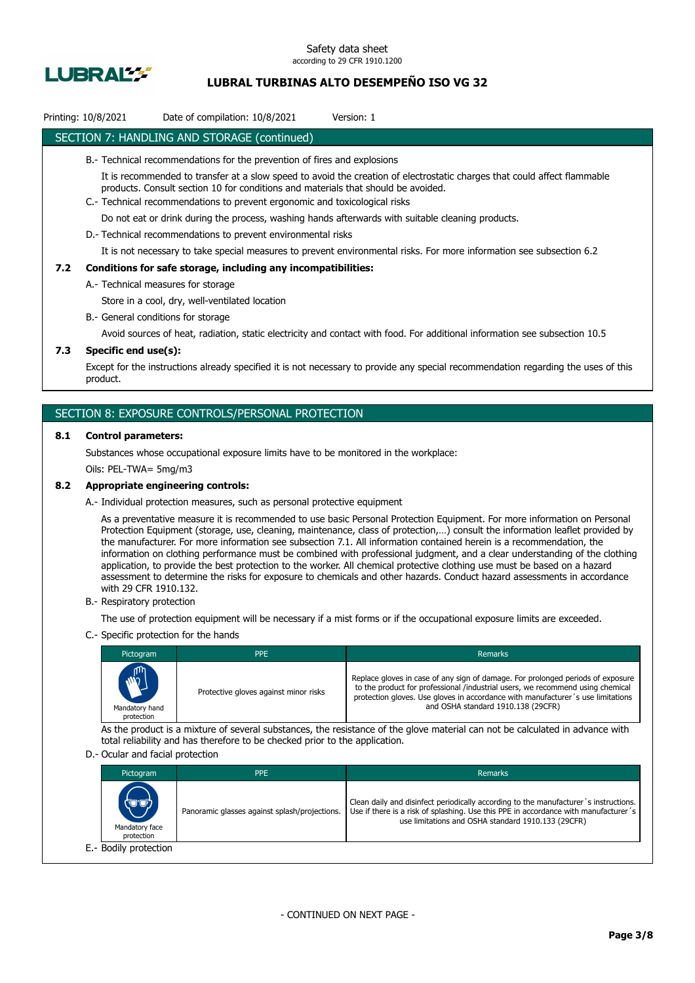

## **LUBRAL TURBINAS ALTO DESEMPEÑO ISO VG 32**

## Printing: 10/8/2021 Date of compilation: 10/8/2021 Version: 1

### SECTION 7: HANDLING AND STORAGE (continued)

- B.- Technical recommendations for the prevention of fires and explosions
	- It is recommended to transfer at a slow speed to avoid the creation of electrostatic charges that could affect flammable products. Consult section 10 for conditions and materials that should be avoided.
- C.- Technical recommendations to prevent ergonomic and toxicological risks

Do not eat or drink during the process, washing hands afterwards with suitable cleaning products.

D.- Technical recommendations to prevent environmental risks

It is not necessary to take special measures to prevent environmental risks. For more information see subsection 6.2

#### **7.2 Conditions for safe storage, including any incompatibilities:**

A.- Technical measures for storage

Store in a cool, dry, well-ventilated location

B.- General conditions for storage

Avoid sources of heat, radiation, static electricity and contact with food. For additional information see subsection 10.5

### **7.3 Specific end use(s):**

Except for the instructions already specified it is not necessary to provide any special recommendation regarding the uses of this product.

### SECTION 8: EXPOSURE CONTROLS/PERSONAL PROTECTION

#### **8.1 Control parameters:**

Substances whose occupational exposure limits have to be monitored in the workplace:

Oils: PEL-TWA= 5mg/m3

#### **8.2 Appropriate engineering controls:**

A.- Individual protection measures, such as personal protective equipment

As a preventative measure it is recommended to use basic Personal Protection Equipment. For more information on Personal Protection Equipment (storage, use, cleaning, maintenance, class of protection,…) consult the information leaflet provided by the manufacturer. For more information see subsection 7.1. All information contained herein is a recommendation, the information on clothing performance must be combined with professional judgment, and a clear understanding of the clothing application, to provide the best protection to the worker. All chemical protective clothing use must be based on a hazard assessment to determine the risks for exposure to chemicals and other hazards. Conduct hazard assessments in accordance with 29 CFR 1910.132.

B.- Respiratory protection

The use of protection equipment will be necessary if a mist forms or if the occupational exposure limits are exceeded.

C.- Specific protection for the hands

| Pictogram                                   | <b>PPE</b>                            | <b>Remarks</b>                                                                                                                                                                                                                                                                             |
|---------------------------------------------|---------------------------------------|--------------------------------------------------------------------------------------------------------------------------------------------------------------------------------------------------------------------------------------------------------------------------------------------|
| <b>ANTI</b><br>Mandatory hand<br>protection | Protective gloves against minor risks | Replace gloves in case of any sign of damage. For prolonged periods of exposure<br>to the product for professional /industrial users, we recommend using chemical<br>protection gloves. Use gloves in accordance with manufacturer's use limitations<br>and OSHA standard 1910.138 (29CFR) |

As the product is a mixture of several substances, the resistance of the glove material can not be calculated in advance with total reliability and has therefore to be checked prior to the application.

#### D.- Ocular and facial protection

| Pictogram                             | PPE                                           | Remarks                                                                                                                                                                                                                           |
|---------------------------------------|-----------------------------------------------|-----------------------------------------------------------------------------------------------------------------------------------------------------------------------------------------------------------------------------------|
| (U'U)<br>Mandatory face<br>protection | Panoramic glasses against splash/projections. | Clean daily and disinfect periodically according to the manufacturer's instructions.<br>Use if there is a risk of splashing. Use this PPE in accordance with manufacturer's<br>use limitations and OSHA standard 1910.133 (29CFR) |
| E.- Bodily protection                 |                                               |                                                                                                                                                                                                                                   |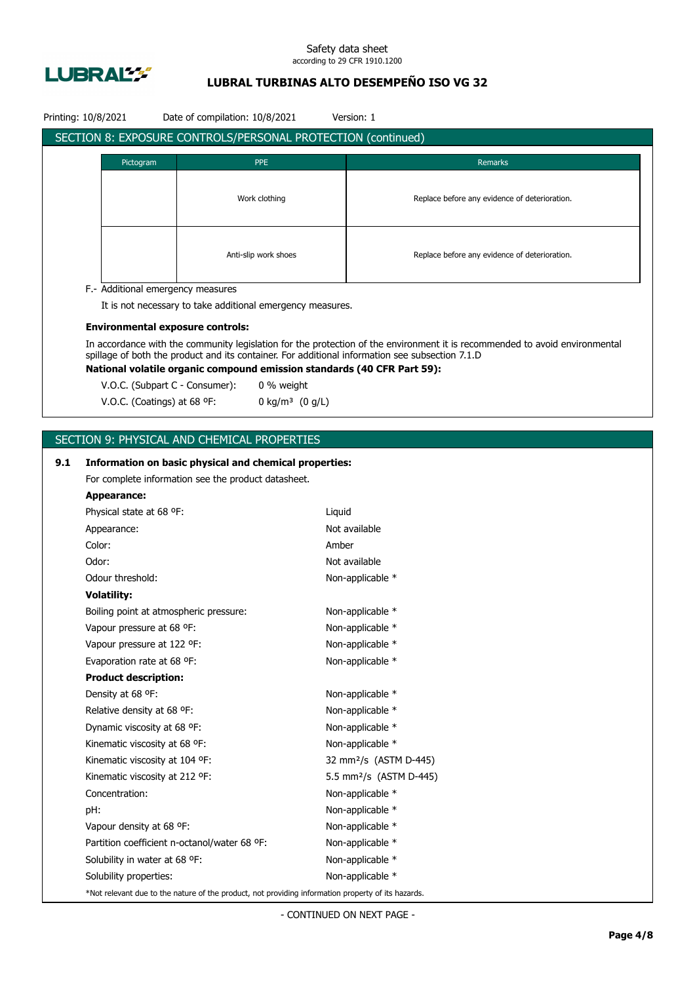

## **LUBRAL TURBINAS ALTO DESEMPEÑO ISO VG 32**

|     | Printing: 10/8/2021                          | Date of compilation: 10/8/2021                                                                     |        | Version: 1                                                                                                                                                                                                                     |
|-----|----------------------------------------------|----------------------------------------------------------------------------------------------------|--------|--------------------------------------------------------------------------------------------------------------------------------------------------------------------------------------------------------------------------------|
|     |                                              | SECTION 8: EXPOSURE CONTROLS/PERSONAL PROTECTION (continued)                                       |        |                                                                                                                                                                                                                                |
|     | Pictogram                                    | <b>PPE</b>                                                                                         |        | <b>Remarks</b>                                                                                                                                                                                                                 |
|     |                                              |                                                                                                    |        |                                                                                                                                                                                                                                |
|     |                                              | Work clothing                                                                                      |        | Replace before any evidence of deterioration.                                                                                                                                                                                  |
|     |                                              |                                                                                                    |        |                                                                                                                                                                                                                                |
|     |                                              |                                                                                                    |        |                                                                                                                                                                                                                                |
|     |                                              |                                                                                                    |        |                                                                                                                                                                                                                                |
|     |                                              | Anti-slip work shoes                                                                               |        | Replace before any evidence of deterioration.                                                                                                                                                                                  |
|     |                                              |                                                                                                    |        |                                                                                                                                                                                                                                |
|     | F.- Additional emergency measures            | It is not necessary to take additional emergency measures.                                         |        |                                                                                                                                                                                                                                |
|     |                                              |                                                                                                    |        |                                                                                                                                                                                                                                |
|     | <b>Environmental exposure controls:</b>      |                                                                                                    |        |                                                                                                                                                                                                                                |
|     |                                              |                                                                                                    |        | In accordance with the community legislation for the protection of the environment it is recommended to avoid environmental<br>spillage of both the product and its container. For additional information see subsection 7.1.D |
|     |                                              | National volatile organic compound emission standards (40 CFR Part 59):                            |        |                                                                                                                                                                                                                                |
|     | V.O.C. (Subpart C - Consumer):               | 0 % weight                                                                                         |        |                                                                                                                                                                                                                                |
|     | V.O.C. (Coatings) at 68 °F:                  | 0 kg/m <sup>3</sup> $(0 g/L)$                                                                      |        |                                                                                                                                                                                                                                |
|     |                                              |                                                                                                    |        |                                                                                                                                                                                                                                |
|     |                                              | SECTION 9: PHYSICAL AND CHEMICAL PROPERTIES                                                        |        |                                                                                                                                                                                                                                |
|     |                                              |                                                                                                    |        |                                                                                                                                                                                                                                |
| 9.1 |                                              | Information on basic physical and chemical properties:                                             |        |                                                                                                                                                                                                                                |
|     |                                              | For complete information see the product datasheet.                                                |        |                                                                                                                                                                                                                                |
|     | <b>Appearance:</b>                           |                                                                                                    |        |                                                                                                                                                                                                                                |
|     | Physical state at 68 °F:                     |                                                                                                    | Liquid |                                                                                                                                                                                                                                |
|     | Appearance:                                  |                                                                                                    |        | Not available                                                                                                                                                                                                                  |
|     | Color:                                       |                                                                                                    | Amber  |                                                                                                                                                                                                                                |
|     | Odor:                                        |                                                                                                    |        | Not available                                                                                                                                                                                                                  |
|     | Odour threshold:                             |                                                                                                    |        | Non-applicable *                                                                                                                                                                                                               |
|     | <b>Volatility:</b>                           |                                                                                                    |        |                                                                                                                                                                                                                                |
|     | Boiling point at atmospheric pressure:       |                                                                                                    |        | Non-applicable *                                                                                                                                                                                                               |
|     | Vapour pressure at 68 °F:                    |                                                                                                    |        | Non-applicable *                                                                                                                                                                                                               |
|     | Vapour pressure at 122 °F:                   |                                                                                                    |        | Non-applicable *                                                                                                                                                                                                               |
|     | Evaporation rate at 68 °F:                   |                                                                                                    |        | Non-applicable *                                                                                                                                                                                                               |
|     | <b>Product description:</b>                  |                                                                                                    |        |                                                                                                                                                                                                                                |
|     | Density at 68 °F:                            |                                                                                                    |        | Non-applicable *                                                                                                                                                                                                               |
|     | Relative density at 68 °F:                   |                                                                                                    |        | Non-applicable *                                                                                                                                                                                                               |
|     | Dynamic viscosity at 68 °F:                  |                                                                                                    |        | Non-applicable *                                                                                                                                                                                                               |
|     | Kinematic viscosity at 68 °F:                |                                                                                                    |        | Non-applicable *                                                                                                                                                                                                               |
|     | Kinematic viscosity at 104 °F:               |                                                                                                    |        | 32 mm <sup>2</sup> /s (ASTM D-445)                                                                                                                                                                                             |
|     | Kinematic viscosity at 212 °F:               |                                                                                                    |        | 5.5 mm <sup>2</sup> /s (ASTM D-445)                                                                                                                                                                                            |
|     | Concentration:                               |                                                                                                    |        | Non-applicable *                                                                                                                                                                                                               |
|     | pH:                                          |                                                                                                    |        | Non-applicable *                                                                                                                                                                                                               |
|     | Vapour density at 68 °F:                     |                                                                                                    |        | Non-applicable *                                                                                                                                                                                                               |
|     | Partition coefficient n-octanol/water 68 °F: |                                                                                                    |        | Non-applicable *                                                                                                                                                                                                               |
|     | Solubility in water at 68 °F:                |                                                                                                    |        | Non-applicable *                                                                                                                                                                                                               |
|     | Solubility properties:                       |                                                                                                    |        | Non-applicable *                                                                                                                                                                                                               |
|     |                                              | *Not relevant due to the nature of the product, not providing information property of its hazards. |        |                                                                                                                                                                                                                                |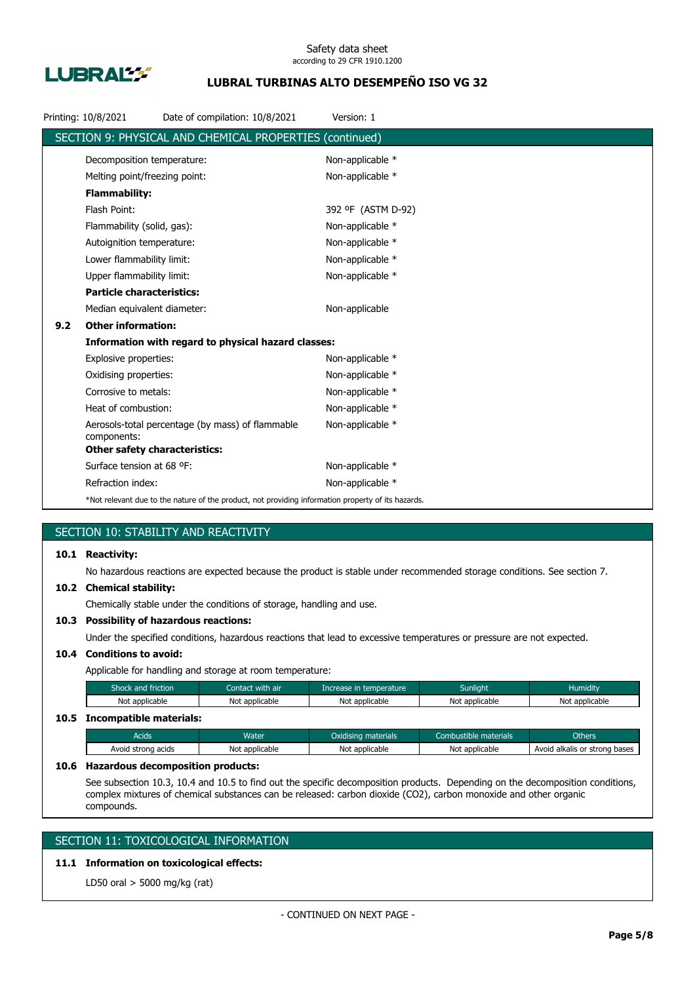

## **LUBRAL TURBINAS ALTO DESEMPEÑO ISO VG 32**

|     | Printing: 10/8/2021                  | Date of compilation: 10/8/2021                                                                     | Version: 1         |
|-----|--------------------------------------|----------------------------------------------------------------------------------------------------|--------------------|
|     |                                      | SECTION 9: PHYSICAL AND CHEMICAL PROPERTIES (continued)                                            |                    |
|     | Decomposition temperature:           |                                                                                                    | Non-applicable *   |
|     | Melting point/freezing point:        |                                                                                                    | Non-applicable *   |
|     | <b>Flammability:</b>                 |                                                                                                    |                    |
|     | Flash Point:                         |                                                                                                    | 392 °F (ASTM D-92) |
|     | Flammability (solid, gas):           |                                                                                                    | Non-applicable *   |
|     | Autoignition temperature:            |                                                                                                    | Non-applicable *   |
|     | Lower flammability limit:            |                                                                                                    | Non-applicable *   |
|     | Upper flammability limit:            |                                                                                                    | Non-applicable *   |
|     | <b>Particle characteristics:</b>     |                                                                                                    |                    |
|     | Median equivalent diameter:          |                                                                                                    | Non-applicable     |
| 9.2 | <b>Other information:</b>            |                                                                                                    |                    |
|     |                                      | Information with regard to physical hazard classes:                                                |                    |
|     | Explosive properties:                |                                                                                                    | Non-applicable *   |
|     | Oxidising properties:                |                                                                                                    | Non-applicable *   |
|     | Corrosive to metals:                 |                                                                                                    | Non-applicable *   |
|     | Heat of combustion:                  |                                                                                                    | Non-applicable *   |
|     | components:                          | Aerosols-total percentage (by mass) of flammable                                                   | Non-applicable *   |
|     | <b>Other safety characteristics:</b> |                                                                                                    |                    |
|     | Surface tension at 68 °F:            |                                                                                                    | Non-applicable *   |
|     | Refraction index:                    |                                                                                                    | Non-applicable *   |
|     |                                      | *Not relevant due to the nature of the product, not providing information property of its hazards. |                    |

## SECTION 10: STABILITY AND REACTIVITY

### **10.1 Reactivity:**

No hazardous reactions are expected because the product is stable under recommended storage conditions. See section 7.

#### **10.2 Chemical stability:**

Chemically stable under the conditions of storage, handling and use.

### **10.3 Possibility of hazardous reactions:**

Under the specified conditions, hazardous reactions that lead to excessive temperatures or pressure are not expected.

## **10.4 Conditions to avoid:**

Applicable for handling and storage at room temperature:

| Shock and friction           | Contact with air | Increase in temperature | <b>Sunlight</b> | <b>Humidity</b> |
|------------------------------|------------------|-------------------------|-----------------|-----------------|
| Not applicable               | Not applicable   | Not applicable          | Not applicable  | Not applicable  |
| 10.5 Incompatible materials: |                  |                         |                 |                 |

## Acids **Water Water Combustible materials** Combustible materials Combustible materials Combustible materials Avoid strong acids Not applicable Not applicable Not applicable Not applicable Avoid alkalis or strong bases

#### **10.6 Hazardous decomposition products:**

See subsection 10.3, 10.4 and 10.5 to find out the specific decomposition products. Depending on the decomposition conditions, complex mixtures of chemical substances can be released: carbon dioxide (CO2), carbon monoxide and other organic compounds.

## SECTION 11: TOXICOLOGICAL INFORMATION

## **11.1 Information on toxicological effects:**

LD50 oral > 5000 mg/kg (rat)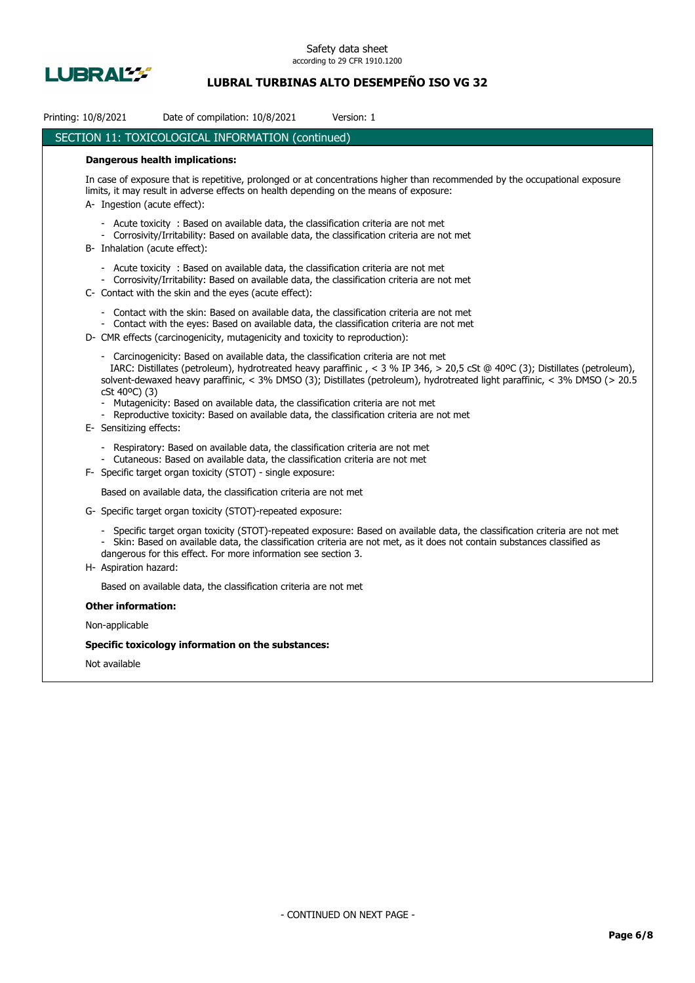

## **LUBRAL TURBINAS ALTO DESEMPEÑO ISO VG 32**

| Printing: 10/8/2021<br>Date of compilation: 10/8/2021<br>Version: 1                                                                                                                                                                                                                                                                                                                                                                                                                                                                                |
|----------------------------------------------------------------------------------------------------------------------------------------------------------------------------------------------------------------------------------------------------------------------------------------------------------------------------------------------------------------------------------------------------------------------------------------------------------------------------------------------------------------------------------------------------|
| SECTION 11: TOXICOLOGICAL INFORMATION (continued)                                                                                                                                                                                                                                                                                                                                                                                                                                                                                                  |
| <b>Dangerous health implications:</b>                                                                                                                                                                                                                                                                                                                                                                                                                                                                                                              |
| In case of exposure that is repetitive, prolonged or at concentrations higher than recommended by the occupational exposure<br>limits, it may result in adverse effects on health depending on the means of exposure:<br>A- Ingestion (acute effect):                                                                                                                                                                                                                                                                                              |
| - Acute toxicity : Based on available data, the classification criteria are not met<br>- Corrosivity/Irritability: Based on available data, the classification criteria are not met<br>B- Inhalation (acute effect):                                                                                                                                                                                                                                                                                                                               |
| - Acute toxicity : Based on available data, the classification criteria are not met<br>- Corrosivity/Irritability: Based on available data, the classification criteria are not met<br>C- Contact with the skin and the eyes (acute effect):                                                                                                                                                                                                                                                                                                       |
| - Contact with the skin: Based on available data, the classification criteria are not met<br>- Contact with the eyes: Based on available data, the classification criteria are not met<br>D- CMR effects (carcinogenicity, mutagenicity and toxicity to reproduction):                                                                                                                                                                                                                                                                             |
| - Carcinogenicity: Based on available data, the classification criteria are not met<br>IARC: Distillates (petroleum), hydrotreated heavy paraffinic, < 3 % IP 346, > 20,5 cSt @ 40°C (3); Distillates (petroleum),<br>solvent-dewaxed heavy paraffinic, < 3% DMSO (3); Distillates (petroleum), hydrotreated light paraffinic, < 3% DMSO (> 20.5<br>cSt 40°C) (3)<br>- Mutagenicity: Based on available data, the classification criteria are not met<br>- Reproductive toxicity: Based on available data, the classification criteria are not met |
| E- Sensitizing effects:<br>- Respiratory: Based on available data, the classification criteria are not met<br>- Cutaneous: Based on available data, the classification criteria are not met                                                                                                                                                                                                                                                                                                                                                        |
| F- Specific target organ toxicity (STOT) - single exposure:                                                                                                                                                                                                                                                                                                                                                                                                                                                                                        |
| Based on available data, the classification criteria are not met                                                                                                                                                                                                                                                                                                                                                                                                                                                                                   |
| G- Specific target organ toxicity (STOT)-repeated exposure:                                                                                                                                                                                                                                                                                                                                                                                                                                                                                        |
| - Specific target organ toxicity (STOT)-repeated exposure: Based on available data, the classification criteria are not met<br>- Skin: Based on available data, the classification criteria are not met, as it does not contain substances classified as<br>dangerous for this effect. For more information see section 3.<br>H- Aspiration hazard:                                                                                                                                                                                                |
| Based on available data, the classification criteria are not met                                                                                                                                                                                                                                                                                                                                                                                                                                                                                   |
| <b>Other information:</b>                                                                                                                                                                                                                                                                                                                                                                                                                                                                                                                          |
| Non-applicable                                                                                                                                                                                                                                                                                                                                                                                                                                                                                                                                     |
| Specific toxicology information on the substances:                                                                                                                                                                                                                                                                                                                                                                                                                                                                                                 |
| Not available                                                                                                                                                                                                                                                                                                                                                                                                                                                                                                                                      |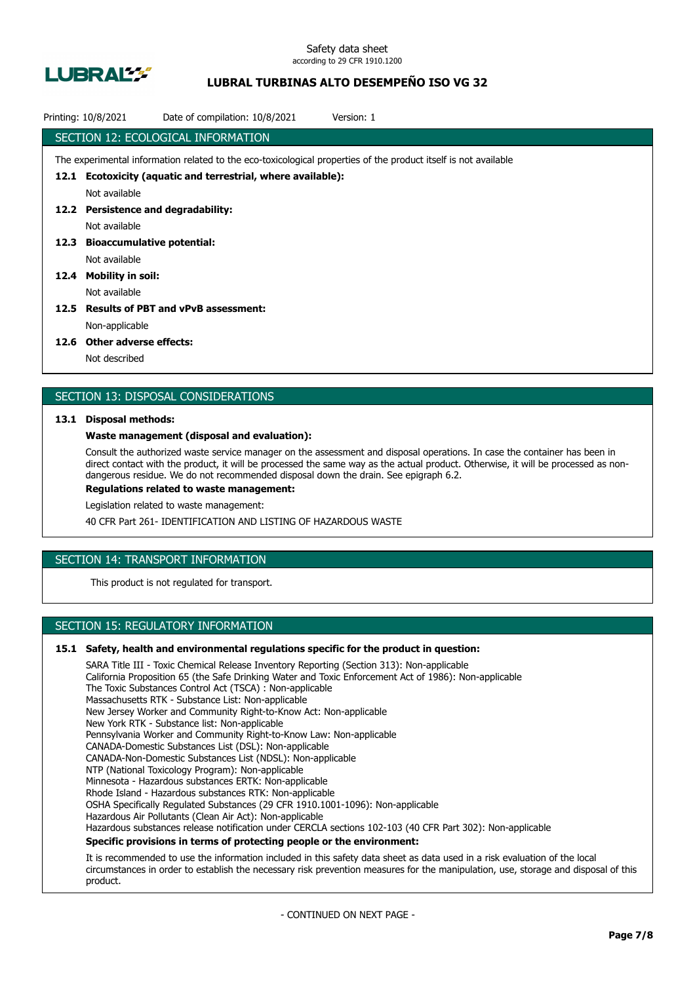

## **LUBRAL TURBINAS ALTO DESEMPEÑO ISO VG 32**

| Printing: 10/8/2021 | Date of compilation: 10/8/2021<br>Version: 1                                                                    |
|---------------------|-----------------------------------------------------------------------------------------------------------------|
|                     | SECTION 12: ECOLOGICAL INFORMATION                                                                              |
|                     | The experimental information related to the eco-toxicological properties of the product itself is not available |
| 12.1                | Ecotoxicity (aquatic and terrestrial, where available):                                                         |
|                     | Not available                                                                                                   |
|                     | 12.2 Persistence and degradability:                                                                             |
|                     | Not available                                                                                                   |
| 12.3                | <b>Bioaccumulative potential:</b>                                                                               |
|                     | Not available                                                                                                   |
| 12.4                | <b>Mobility in soil:</b>                                                                                        |
|                     | Not available                                                                                                   |
| 12.5                | <b>Results of PBT and vPvB assessment:</b>                                                                      |
|                     | Non-applicable                                                                                                  |
|                     |                                                                                                                 |

#### **12.6 Other adverse effects:**

Not described

### SECTION 13: DISPOSAL CONSIDERATIONS

#### **13.1 Disposal methods:**

#### **Waste management (disposal and evaluation):**

Consult the authorized waste service manager on the assessment and disposal operations. In case the container has been in direct contact with the product, it will be processed the same way as the actual product. Otherwise, it will be processed as nondangerous residue. We do not recommended disposal down the drain. See epigraph 6.2.

**Regulations related to waste management:**

Legislation related to waste management:

40 CFR Part 261- IDENTIFICATION AND LISTING OF HAZARDOUS WASTE

## SECTION 14: TRANSPORT INFORMATION

This product is not regulated for transport.

## SECTION 15: REGULATORY INFORMATION

#### **15.1 Safety, health and environmental regulations specific for the product in question:**

SARA Title III - Toxic Chemical Release Inventory Reporting (Section 313): Non-applicable California Proposition 65 (the Safe Drinking Water and Toxic Enforcement Act of 1986): Non-applicable The Toxic Substances Control Act (TSCA) : Non-applicable Massachusetts RTK - Substance List: Non-applicable New Jersey Worker and Community Right-to-Know Act: Non-applicable New York RTK - Substance list: Non-applicable Pennsylvania Worker and Community Right-to-Know Law: Non-applicable CANADA-Domestic Substances List (DSL): Non-applicable CANADA-Non-Domestic Substances List (NDSL): Non-applicable NTP (National Toxicology Program): Non-applicable Minnesota - Hazardous substances ERTK: Non-applicable Rhode Island - Hazardous substances RTK: Non-applicable OSHA Specifically Regulated Substances (29 CFR 1910.1001-1096): Non-applicable Hazardous Air Pollutants (Clean Air Act): Non-applicable Hazardous substances release notification under CERCLA sections 102-103 (40 CFR Part 302): Non-applicable **Specific provisions in terms of protecting people or the environment:**

It is recommended to use the information included in this safety data sheet as data used in a risk evaluation of the local circumstances in order to establish the necessary risk prevention measures for the manipulation, use, storage and disposal of this product.

- CONTINUED ON NEXT PAGE -